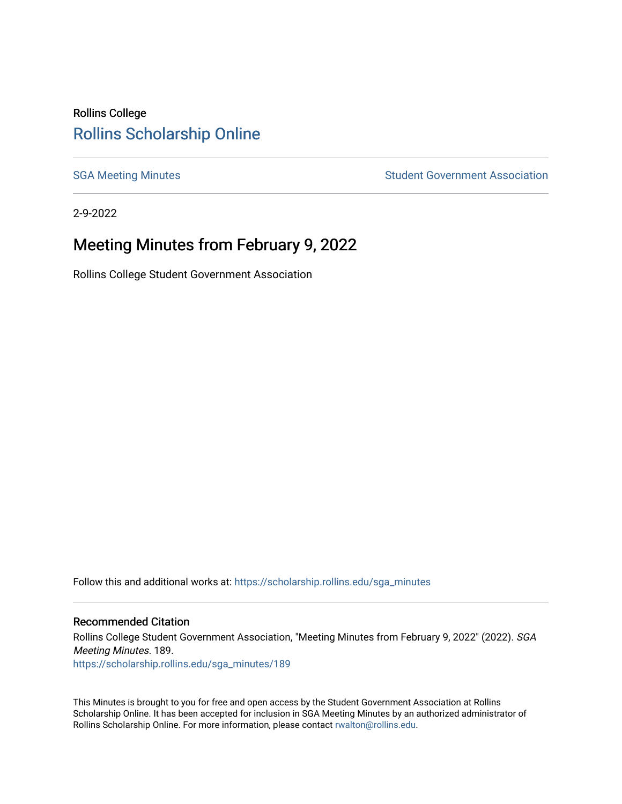# Rollins College [Rollins Scholarship Online](https://scholarship.rollins.edu/)

[SGA Meeting Minutes](https://scholarship.rollins.edu/sga_minutes) **SGA Meeting Minutes** SGA Meeting Minutes **STEER** Student Government Association

2-9-2022

# Meeting Minutes from February 9, 2022

Rollins College Student Government Association

Follow this and additional works at: [https://scholarship.rollins.edu/sga\\_minutes](https://scholarship.rollins.edu/sga_minutes?utm_source=scholarship.rollins.edu%2Fsga_minutes%2F189&utm_medium=PDF&utm_campaign=PDFCoverPages)

#### Recommended Citation

Rollins College Student Government Association, "Meeting Minutes from February 9, 2022" (2022). SGA Meeting Minutes. 189. [https://scholarship.rollins.edu/sga\\_minutes/189](https://scholarship.rollins.edu/sga_minutes/189?utm_source=scholarship.rollins.edu%2Fsga_minutes%2F189&utm_medium=PDF&utm_campaign=PDFCoverPages)

This Minutes is brought to you for free and open access by the Student Government Association at Rollins Scholarship Online. It has been accepted for inclusion in SGA Meeting Minutes by an authorized administrator of Rollins Scholarship Online. For more information, please contact [rwalton@rollins.edu](mailto:rwalton@rollins.edu).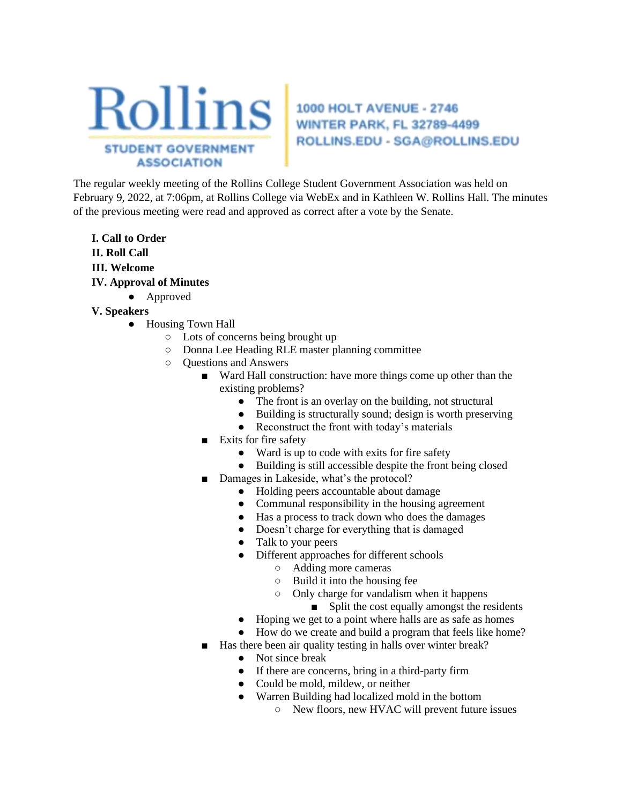

**WINTER PARK, FL 32789-4499** ROLLINS.EDU - SGA@ROLLINS.EDU

The regular weekly meeting of the Rollins College Student Government Association was held on February 9, 2022, at 7:06pm, at Rollins College via WebEx and in Kathleen W. Rollins Hall. The minutes of the previous meeting were read and approved as correct after a vote by the Senate.

**I. Call to Order II. Roll Call III. Welcome IV. Approval of Minutes** 

- Approved
- **V. Speakers** 
	- Housing Town Hall
		- Lots of concerns being brought up
		- Donna Lee Heading RLE master planning committee
		- Questions and Answers
			- Ward Hall construction: have more things come up other than the existing problems?
				- The front is an overlay on the building, not structural
				- Building is structurally sound; design is worth preserving
				- Reconstruct the front with today's materials
			- Exits for fire safety
				- Ward is up to code with exits for fire safety
				- Building is still accessible despite the front being closed
				- Damages in Lakeside, what's the protocol?
					- Holding peers accountable about damage
					- Communal responsibility in the housing agreement
					- Has a process to track down who does the damages
					- Doesn't charge for everything that is damaged
					- Talk to your peers
					- Different approaches for different schools
						- Adding more cameras
						- Build it into the housing fee
						- Only charge for vandalism when it happens
							- Split the cost equally amongst the residents
					- Hoping we get to a point where halls are as safe as homes
					- How do we create and build a program that feels like home?
			- Has there been air quality testing in halls over winter break?
				- Not since break
				- If there are concerns, bring in a third-party firm
				- Could be mold, mildew, or neither
				- Warren Building had localized mold in the bottom
					- New floors, new HVAC will prevent future issues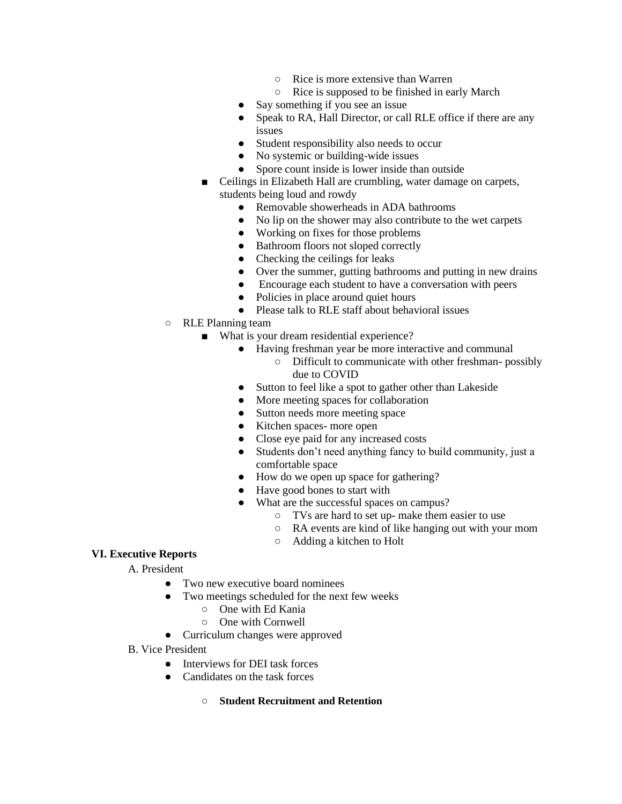- Rice is more extensive than Warren
- Rice is supposed to be finished in early March
- Say something if you see an issue
- Speak to RA, Hall Director, or call RLE office if there are any issues
- Student responsibility also needs to occur
- No systemic or building-wide issues
- Spore count inside is lower inside than outside
- Ceilings in Elizabeth Hall are crumbling, water damage on carpets, students being loud and rowdy
	- Removable showerheads in ADA bathrooms
	- No lip on the shower may also contribute to the wet carpets
	- Working on fixes for those problems
	- Bathroom floors not sloped correctly
	- Checking the ceilings for leaks
	- Over the summer, gutting bathrooms and putting in new drains
	- Encourage each student to have a conversation with peers
	- Policies in place around quiet hours
	- Please talk to RLE staff about behavioral issues
- RLE Planning team
	- What is your dream residential experience?
		- Having freshman year be more interactive and communal
			- Difficult to communicate with other freshman- possibly due to COVID
		- Sutton to feel like a spot to gather other than Lakeside
		- More meeting spaces for collaboration
		- Sutton needs more meeting space
		- Kitchen spaces- more open
		- Close eye paid for any increased costs
		- Students don't need anything fancy to build community, just a comfortable space
		- How do we open up space for gathering?
		- Have good bones to start with
		- What are the successful spaces on campus?
			- TVs are hard to set up- make them easier to use
			- RA events are kind of like hanging out with your mom
			- Adding a kitchen to Holt

#### **VI. Executive Reports**

A. President

- Two new executive board nominees
- Two meetings scheduled for the next few weeks
	- One with Ed Kania
	- One with Cornwell
- Curriculum changes were approved
- B. Vice President
	- Interviews for DEI task forces
	- Candidates on the task forces
		- **Student Recruitment and Retention**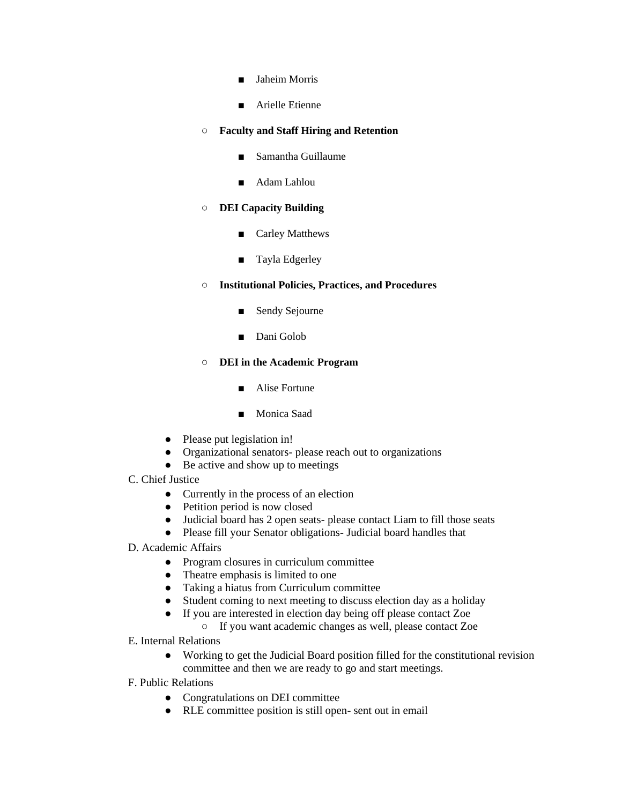- Jaheim Morris
- Arielle Etienne

#### ○ **Faculty and Staff Hiring and Retention**

- Samantha Guillaume
- Adam Lahlou

#### ○ **DEI Capacity Building**

- Carley Matthews
- Tayla Edgerley

### ○ **Institutional Policies, Practices, and Procedures**

- Sendy Sejourne
- Dani Golob

### ○ **DEI in the Academic Program**

- Alise Fortune
- Monica Saad
- Please put legislation in!
- Organizational senators- please reach out to organizations
- Be active and show up to meetings
- C. Chief Justice
	- Currently in the process of an election
	- Petition period is now closed
	- Judicial board has 2 open seats- please contact Liam to fill those seats
	- Please fill your Senator obligations- Judicial board handles that
- D. Academic Affairs
	- Program closures in curriculum committee
	- Theatre emphasis is limited to one
	- Taking a hiatus from Curriculum committee
	- Student coming to next meeting to discuss election day as a holiday
	- If you are interested in election day being off please contact Zoe
		- If you want academic changes as well, please contact Zoe
- E. Internal Relations
	- Working to get the Judicial Board position filled for the constitutional revision committee and then we are ready to go and start meetings.
- F. Public Relations
	- Congratulations on DEI committee
	- RLE committee position is still open- sent out in email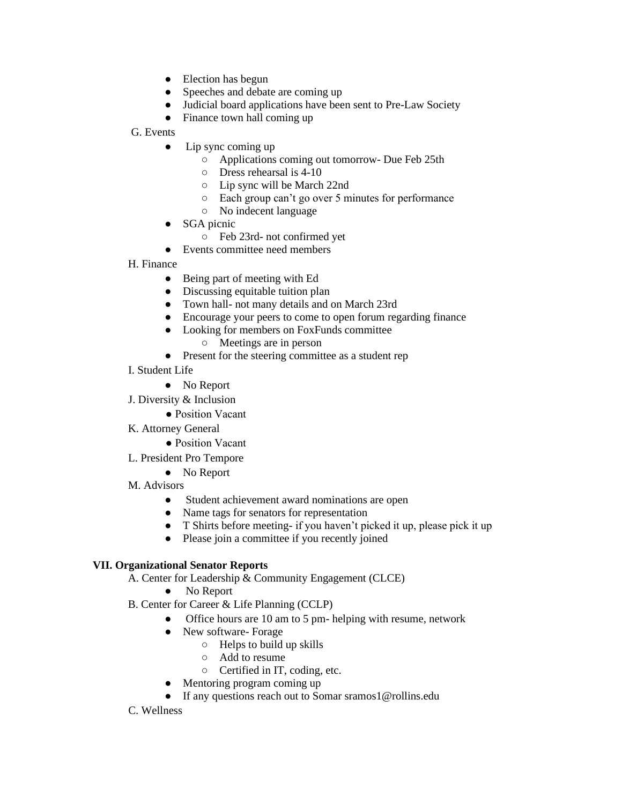- Election has begun
- Speeches and debate are coming up
- Judicial board applications have been sent to Pre-Law Society
- Finance town hall coming up

G. Events

- Lip sync coming up
	- Applications coming out tomorrow- Due Feb 25th
	- Dress rehearsal is 4-10
	- Lip sync will be March 22nd
	- Each group can't go over 5 minutes for performance
	- No indecent language
- SGA picnic
	- Feb 23rd- not confirmed yet
- Events committee need members

H. Finance

- Being part of meeting with Ed
- Discussing equitable tuition plan
- Town hall- not many details and on March 23rd
- Encourage your peers to come to open forum regarding finance
- Looking for members on FoxFunds committee
	- Meetings are in person
- Present for the steering committee as a student rep
- I. Student Life
	- No Report
- J. Diversity & Inclusion
	- Position Vacant
- K. Attorney General
	- Position Vacant
- L. President Pro Tempore
	- No Report
- M. Advisors
	- Student achievement award nominations are open
	- Name tags for senators for representation
	- T Shirts before meeting- if you haven't picked it up, please pick it up
	- Please join a committee if you recently joined

### **VII. Organizational Senator Reports**

- A. Center for Leadership & Community Engagement (CLCE)
	- No Report
- B. Center for Career & Life Planning (CCLP)
	- Office hours are 10 am to 5 pm- helping with resume, network
	- New software- Forage
		- $\circ$  Helps to build up skills
		- Add to resume
		- Certified in IT, coding, etc.
	- Mentoring program coming up
	- If any questions reach out to Somar sramos1@rollins.edu

### C. Wellness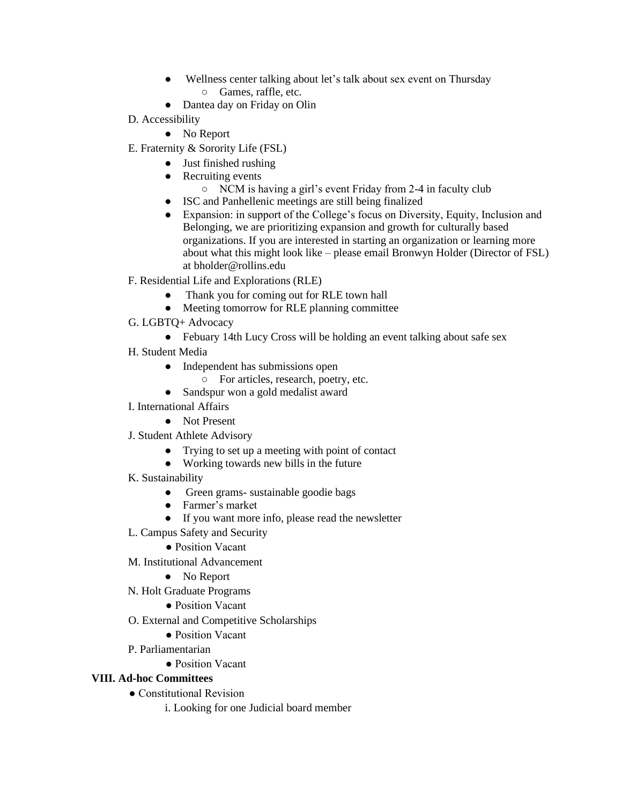- Wellness center talking about let's talk about sex event on Thursday ○ Games, raffle, etc.
- Dantea day on Friday on Olin
- D. Accessibility
	- No Report
- E. Fraternity & Sorority Life (FSL)
	- Just finished rushing
	- Recruiting events
		- NCM is having a girl's event Friday from 2-4 in faculty club
	- ISC and Panhellenic meetings are still being finalized
	- Expansion: in support of the College's focus on Diversity, Equity, Inclusion and Belonging, we are prioritizing expansion and growth for culturally based organizations. If you are interested in starting an organization or learning more about what this might look like – please email Bronwyn Holder (Director of FSL) at bholder@rollins.edu
- F. Residential Life and Explorations (RLE)
	- Thank you for coming out for RLE town hall
	- Meeting tomorrow for RLE planning committee
- G. LGBTQ+ Advocacy
	- Febuary 14th Lucy Cross will be holding an event talking about safe sex
- H. Student Media
	- Independent has submissions open
		- For articles, research, poetry, etc.
	- Sandspur won a gold medalist award
- I. International Affairs
	- Not Present
- J. Student Athlete Advisory
	- Trying to set up a meeting with point of contact
	- Working towards new bills in the future
- K. Sustainability
	- Green grams- sustainable goodie bags
	- Farmer's market
	- If you want more info, please read the newsletter
- L. Campus Safety and Security
	- Position Vacant
- M. Institutional Advancement
	- No Report
- N. Holt Graduate Programs
	- Position Vacant
- O. External and Competitive Scholarships
	- Position Vacant
- P. Parliamentarian
	- Position Vacant

### **VIII. Ad-hoc Committees**

- Constitutional Revision
	- i. Looking for one Judicial board member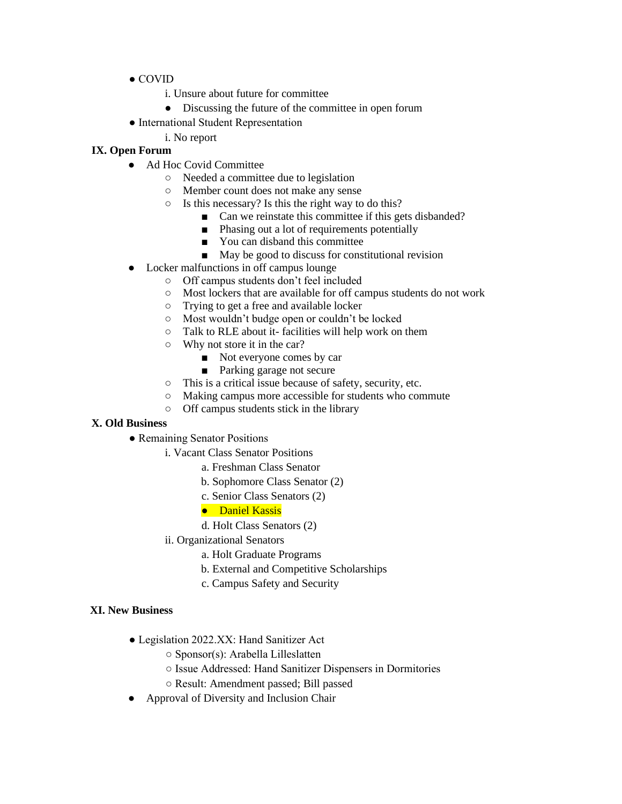- COVID
	- i. Unsure about future for committee
	- Discussing the future of the committee in open forum
- International Student Representation
	- i. No report

## **IX. Open Forum**

- Ad Hoc Covid Committee
	- Needed a committee due to legislation
	- Member count does not make any sense
	- $\circ$  Is this necessary? Is this the right way to do this?
		- Can we reinstate this committee if this gets disbanded?
		- Phasing out a lot of requirements potentially
		- You can disband this committee
		- May be good to discuss for constitutional revision
- Locker malfunctions in off campus lounge
	- Off campus students don't feel included
	- Most lockers that are available for off campus students do not work
	- Trying to get a free and available locker
	- Most wouldn't budge open or couldn't be locked
	- Talk to RLE about it- facilities will help work on them
	- Why not store it in the car?
		- Not everyone comes by car
		- Parking garage not secure
	- This is a critical issue because of safety, security, etc.
	- Making campus more accessible for students who commute
	- Off campus students stick in the library

## **X. Old Business**

- Remaining Senator Positions
	- i. Vacant Class Senator Positions
		- a. Freshman Class Senator
		- b. Sophomore Class Senator (2)
		- c. Senior Class Senators (2)
		- Daniel Kassis
		- d. Holt Class Senators (2)
	- ii. Organizational Senators
		- a. Holt Graduate Programs
		- b. External and Competitive Scholarships
		- c. Campus Safety and Security

### **XI. New Business**

- Legislation 2022.XX: Hand Sanitizer Act
	- Sponsor(s): Arabella Lilleslatten
	- Issue Addressed: Hand Sanitizer Dispensers in Dormitories
	- Result: Amendment passed; Bill passed
- Approval of Diversity and Inclusion Chair